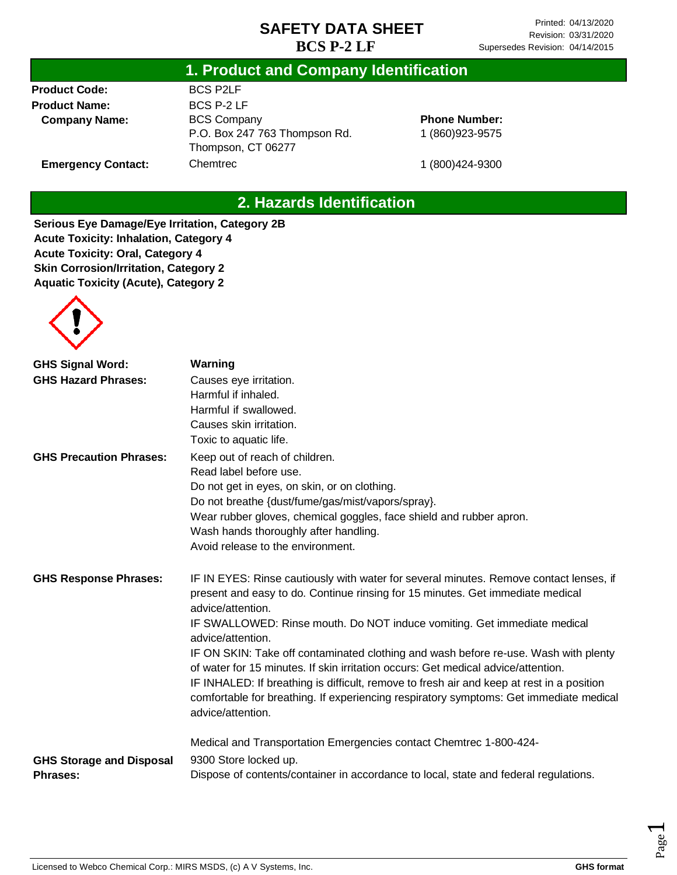### **1. Product and Company Identification**

**Product Code: Product Name: Company Name:**

**Emergency Contact:**

BCS P2LF BCS P-2 LF BCS Company P.O. Box 247 763 Thompson Rd. Thompson, CT 06277 Chemtrec

**Phone Number:** 1 (860)923-9575

1 (800)424-9300

## **2. Hazards Identification**

**Serious Eye Damage/Eye Irritation, Category 2B Acute Toxicity: Inhalation, Category 4 Acute Toxicity: Oral, Category 4 Skin Corrosion/Irritation, Category 2 Aquatic Toxicity (Acute), Category 2**



| <b>GHS Signal Word:</b>         | Warning                                                                                                                                                                                                                                                                                                                                                                              |
|---------------------------------|--------------------------------------------------------------------------------------------------------------------------------------------------------------------------------------------------------------------------------------------------------------------------------------------------------------------------------------------------------------------------------------|
| <b>GHS Hazard Phrases:</b>      | Causes eye irritation.                                                                                                                                                                                                                                                                                                                                                               |
|                                 | Harmful if inhaled.                                                                                                                                                                                                                                                                                                                                                                  |
|                                 | Harmful if swallowed.                                                                                                                                                                                                                                                                                                                                                                |
|                                 | Causes skin irritation.                                                                                                                                                                                                                                                                                                                                                              |
|                                 | Toxic to aquatic life.                                                                                                                                                                                                                                                                                                                                                               |
| <b>GHS Precaution Phrases:</b>  | Keep out of reach of children.                                                                                                                                                                                                                                                                                                                                                       |
|                                 | Read label before use.                                                                                                                                                                                                                                                                                                                                                               |
|                                 | Do not get in eyes, on skin, or on clothing.                                                                                                                                                                                                                                                                                                                                         |
|                                 | Do not breathe {dust/fume/gas/mist/vapors/spray}.                                                                                                                                                                                                                                                                                                                                    |
|                                 | Wear rubber gloves, chemical goggles, face shield and rubber apron.                                                                                                                                                                                                                                                                                                                  |
|                                 | Wash hands thoroughly after handling.                                                                                                                                                                                                                                                                                                                                                |
|                                 | Avoid release to the environment.                                                                                                                                                                                                                                                                                                                                                    |
| <b>GHS Response Phrases:</b>    | IF IN EYES: Rinse cautiously with water for several minutes. Remove contact lenses, if<br>present and easy to do. Continue rinsing for 15 minutes. Get immediate medical<br>advice/attention.                                                                                                                                                                                        |
|                                 | IF SWALLOWED: Rinse mouth. Do NOT induce vomiting. Get immediate medical<br>advice/attention.                                                                                                                                                                                                                                                                                        |
|                                 | IF ON SKIN: Take off contaminated clothing and wash before re-use. Wash with plenty<br>of water for 15 minutes. If skin irritation occurs: Get medical advice/attention.<br>IF INHALED: If breathing is difficult, remove to fresh air and keep at rest in a position<br>comfortable for breathing. If experiencing respiratory symptoms: Get immediate medical<br>advice/attention. |
| <b>GHS Storage and Disposal</b> | Medical and Transportation Emergencies contact Chemtrec 1-800-424-<br>9300 Store locked up.                                                                                                                                                                                                                                                                                          |
| <b>Phrases:</b>                 | Dispose of contents/container in accordance to local, state and federal regulations.                                                                                                                                                                                                                                                                                                 |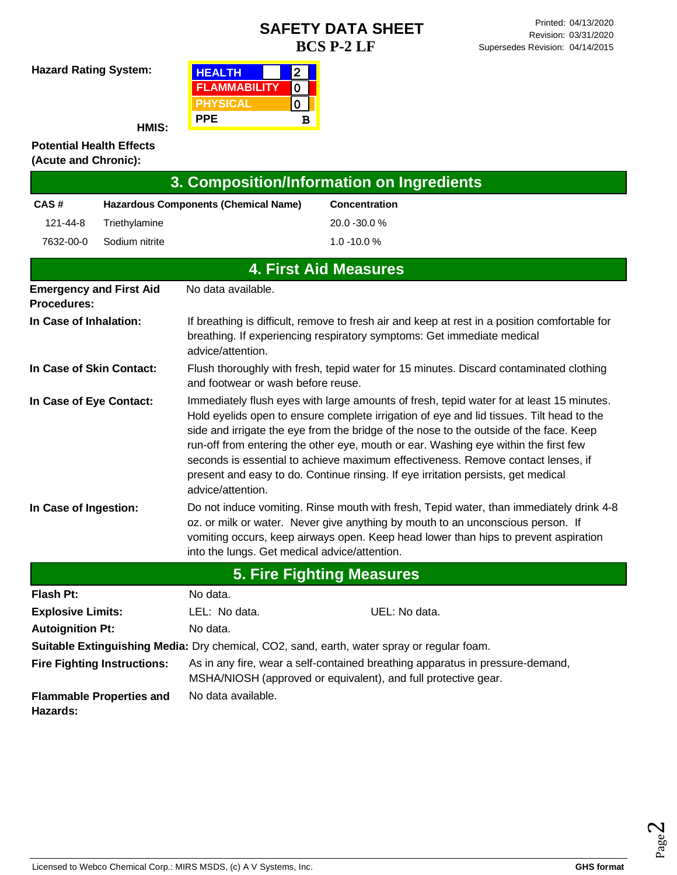**Hazard Rating System:**

| <b>HEALTH</b>       | 2 |
|---------------------|---|
| <b>FLAMMABILITY</b> |   |
| <b>PHYSICAL</b>     |   |
| <b>PPE</b>          | в |

**HMIS:**

#### **Potential Health Effects (Acute and Chronic):**

| 3. Composition/Information on Ingredients |                                    |                                               |                                                                                                                                                                                                                                                                                                                                                                                                                                                                                                                                                |  |
|-------------------------------------------|------------------------------------|-----------------------------------------------|------------------------------------------------------------------------------------------------------------------------------------------------------------------------------------------------------------------------------------------------------------------------------------------------------------------------------------------------------------------------------------------------------------------------------------------------------------------------------------------------------------------------------------------------|--|
| CAS#                                      |                                    | <b>Hazardous Components (Chemical Name)</b>   | <b>Concentration</b>                                                                                                                                                                                                                                                                                                                                                                                                                                                                                                                           |  |
| 121-44-8                                  | Triethylamine                      |                                               | 20.0 -30.0 %                                                                                                                                                                                                                                                                                                                                                                                                                                                                                                                                   |  |
| 7632-00-0                                 | Sodium nitrite                     |                                               | $1.0 - 10.0 %$                                                                                                                                                                                                                                                                                                                                                                                                                                                                                                                                 |  |
|                                           |                                    |                                               | <b>4. First Aid Measures</b>                                                                                                                                                                                                                                                                                                                                                                                                                                                                                                                   |  |
| <b>Procedures:</b>                        | <b>Emergency and First Aid</b>     | No data available.                            |                                                                                                                                                                                                                                                                                                                                                                                                                                                                                                                                                |  |
| In Case of Inhalation:                    |                                    | advice/attention.                             | If breathing is difficult, remove to fresh air and keep at rest in a position comfortable for<br>breathing. If experiencing respiratory symptoms: Get immediate medical                                                                                                                                                                                                                                                                                                                                                                        |  |
| In Case of Skin Contact:                  |                                    | and footwear or wash before reuse.            | Flush thoroughly with fresh, tepid water for 15 minutes. Discard contaminated clothing                                                                                                                                                                                                                                                                                                                                                                                                                                                         |  |
| In Case of Eye Contact:                   |                                    | advice/attention.                             | Immediately flush eyes with large amounts of fresh, tepid water for at least 15 minutes.<br>Hold eyelids open to ensure complete irrigation of eye and lid tissues. Tilt head to the<br>side and irrigate the eye from the bridge of the nose to the outside of the face. Keep<br>run-off from entering the other eye, mouth or ear. Washing eye within the first few<br>seconds is essential to achieve maximum effectiveness. Remove contact lenses, if<br>present and easy to do. Continue rinsing. If eye irritation persists, get medical |  |
| In Case of Ingestion:                     |                                    | into the lungs. Get medical advice/attention. | Do not induce vomiting. Rinse mouth with fresh, Tepid water, than immediately drink 4-8<br>oz. or milk or water. Never give anything by mouth to an unconscious person. If<br>vomiting occurs, keep airways open. Keep head lower than hips to prevent aspiration                                                                                                                                                                                                                                                                              |  |
|                                           |                                    |                                               | <b>5. Fire Fighting Measures</b>                                                                                                                                                                                                                                                                                                                                                                                                                                                                                                               |  |
| <b>Flash Pt:</b>                          |                                    | No data.                                      |                                                                                                                                                                                                                                                                                                                                                                                                                                                                                                                                                |  |
| <b>Explosive Limits:</b>                  |                                    | LEL: No data.                                 | UEL: No data.                                                                                                                                                                                                                                                                                                                                                                                                                                                                                                                                  |  |
| <b>Autoignition Pt:</b>                   |                                    | No data.                                      |                                                                                                                                                                                                                                                                                                                                                                                                                                                                                                                                                |  |
|                                           |                                    |                                               | Suitable Extinguishing Media: Dry chemical, CO2, sand, earth, water spray or regular foam.                                                                                                                                                                                                                                                                                                                                                                                                                                                     |  |
|                                           | <b>Fire Fighting Instructions:</b> |                                               | As in any fire, wear a self-contained breathing apparatus in pressure-demand,<br>MSHA/NIOSH (approved or equivalent), and full protective gear.                                                                                                                                                                                                                                                                                                                                                                                                |  |
| Hazards:                                  | <b>Flammable Properties and</b>    | No data available.                            |                                                                                                                                                                                                                                                                                                                                                                                                                                                                                                                                                |  |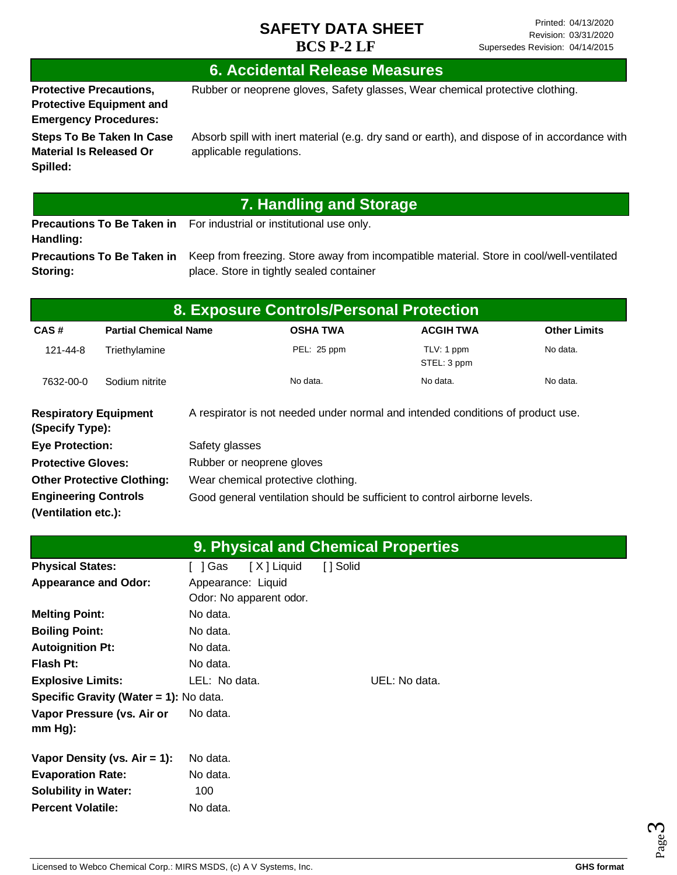## **6. Accidental Release Measures**

**Protective Precautions, Protective Equipment and**  Rubber or neoprene gloves, Safety glasses, Wear chemical protective clothing.

**Emergency Procedures: Steps To Be Taken In Case Material Is Released Or Spilled:**

Absorb spill with inert material (e.g. dry sand or earth), and dispose of in accordance with applicable regulations.

# **7. Handling and Storage**

**Precautions To Be Taken in**  For industrial or institutional use only. **Handling: Precautions To Be Taken in** 

**Storing:**

Keep from freezing. Store away from incompatible material. Store in cool/well-ventilated place. Store in tightly sealed container

| <b>8. Exposure Controls/Personal Protection</b> |                                   |                                                                           |                                                                                 |                           |                     |
|-------------------------------------------------|-----------------------------------|---------------------------------------------------------------------------|---------------------------------------------------------------------------------|---------------------------|---------------------|
| CAS#                                            | <b>Partial Chemical Name</b>      |                                                                           | <b>OSHA TWA</b>                                                                 | <b>ACGIH TWA</b>          | <b>Other Limits</b> |
| 121-44-8                                        | Triethylamine                     |                                                                           | PEL: 25 ppm                                                                     | TLV: 1 ppm<br>STEL: 3 ppm | No data.            |
| 7632-00-0                                       | Sodium nitrite                    |                                                                           | No data.                                                                        | No data.                  | No data.            |
| <b>Respiratory Equipment</b><br>(Specify Type): |                                   |                                                                           | A respirator is not needed under normal and intended conditions of product use. |                           |                     |
| <b>Eye Protection:</b>                          |                                   | Safety glasses                                                            |                                                                                 |                           |                     |
| <b>Protective Gloves:</b>                       |                                   |                                                                           | Rubber or neoprene gloves                                                       |                           |                     |
|                                                 | <b>Other Protective Clothing:</b> |                                                                           | Wear chemical protective clothing.                                              |                           |                     |
| <b>Engineering Controls</b>                     |                                   | Good general ventilation should be sufficient to control airborne levels. |                                                                                 |                           |                     |
| (Ventilation etc.):                             |                                   |                                                                           |                                                                                 |                           |                     |

|                                         |                         | <b>9. Physical and Chemical Properties</b> |
|-----------------------------------------|-------------------------|--------------------------------------------|
| <b>Physical States:</b>                 | [X] Liquid<br>[ ] Gas   | [ ] Solid                                  |
| <b>Appearance and Odor:</b>             | Appearance: Liquid      |                                            |
|                                         | Odor: No apparent odor. |                                            |
| <b>Melting Point:</b>                   | No data.                |                                            |
| <b>Boiling Point:</b>                   | No data.                |                                            |
| <b>Autoignition Pt:</b>                 | No data.                |                                            |
| <b>Flash Pt:</b>                        | No data.                |                                            |
| <b>Explosive Limits:</b>                | LEL: No data.           | UEL: No data.                              |
| Specific Gravity (Water = 1): No data.  |                         |                                            |
| Vapor Pressure (vs. Air or<br>$mm Hg$ : | No data.                |                                            |
|                                         | No data.                |                                            |
| Vapor Density (vs. $Air = 1$ ):         |                         |                                            |
| <b>Evaporation Rate:</b>                | No data.                |                                            |
| <b>Solubility in Water:</b>             | 100                     |                                            |
| <b>Percent Volatile:</b>                | No data.                |                                            |



Page ო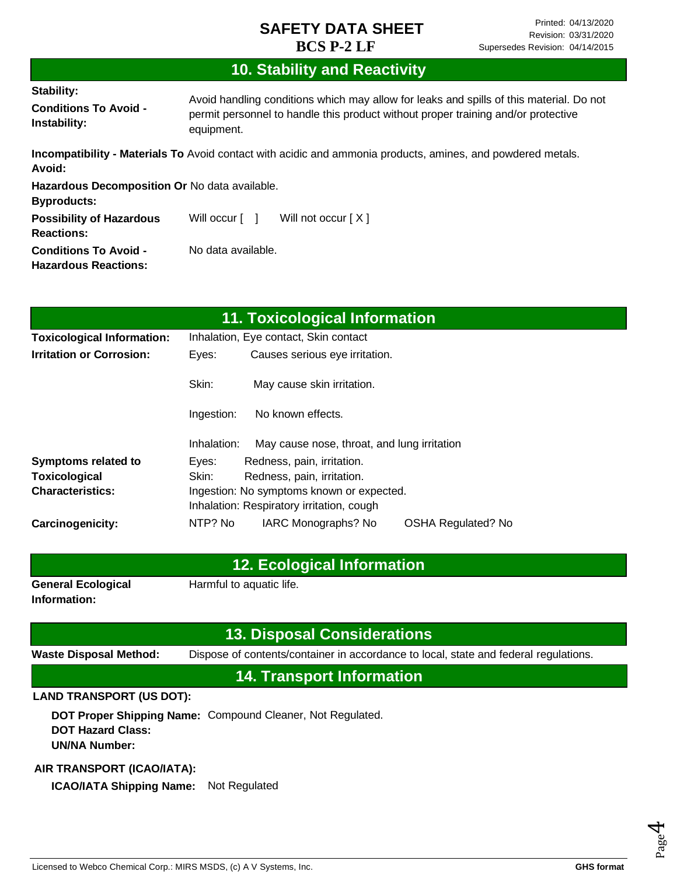# **10. Stability and Reactivity**

| <b>Stability:</b><br><b>Conditions To Avoid -</b><br>Instability:   | Avoid handling conditions which may allow for leaks and spills of this material. Do not<br>permit personnel to handle this product without proper training and/or protective<br>equipment. |  |  |
|---------------------------------------------------------------------|--------------------------------------------------------------------------------------------------------------------------------------------------------------------------------------------|--|--|
| Avoid:                                                              | <b>Incompatibility - Materials To</b> Avoid contact with acidic and ammonia products, amines, and powdered metals.                                                                         |  |  |
| Hazardous Decomposition Or No data available.<br><b>Byproducts:</b> |                                                                                                                                                                                            |  |  |
| <b>Possibility of Hazardous</b><br><b>Reactions:</b>                | Will occur [ ]<br>Will not occur $[X]$                                                                                                                                                     |  |  |
| <b>Conditions To Avoid -</b><br><b>Hazardous Reactions:</b>         | No data available.                                                                                                                                                                         |  |  |

|                                   |             | 11. Toxicological Information               |                           |
|-----------------------------------|-------------|---------------------------------------------|---------------------------|
| <b>Toxicological Information:</b> |             | Inhalation, Eye contact, Skin contact       |                           |
| <b>Irritation or Corrosion:</b>   | Eyes:       | Causes serious eye irritation.              |                           |
|                                   | Skin:       | May cause skin irritation.                  |                           |
|                                   | Ingestion:  | No known effects.                           |                           |
|                                   | Inhalation: | May cause nose, throat, and lung irritation |                           |
| <b>Symptoms related to</b>        | Eyes:       | Redness, pain, irritation.                  |                           |
| Toxicological                     | Skin:       | Redness, pain, irritation.                  |                           |
| <b>Characteristics:</b>           |             | Ingestion: No symptoms known or expected.   |                           |
|                                   |             | Inhalation: Respiratory irritation, cough   |                           |
| <b>Carcinogenicity:</b>           | NTP? No     | IARC Monographs? No                         | <b>OSHA Regulated? No</b> |

### **12. Ecological Information**

**General Ecological Information:**

Harmful to aquatic life.

### **13. Disposal Considerations**

**Waste Disposal Method:** Dispose of contents/container in accordance to local, state and federal regulations.

**14. Transport Information**

#### **LAND TRANSPORT (US DOT):**

**DOT Proper Shipping Name:**  Compound Cleaner, Not Regulated. **DOT Hazard Class: UN/NA Number:**

#### **AIR TRANSPORT (ICAO/IATA):**

**ICAO/IATA Shipping Name:** Not Regulated

Page 4